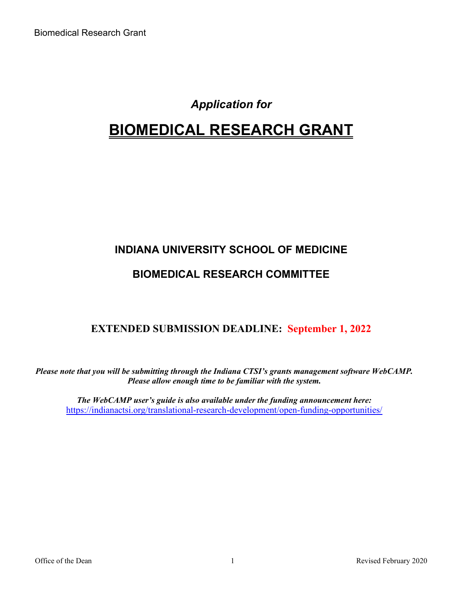# *Application for*

# **BIOMEDICAL RESEARCH GRANT**

# **INDIANA UNIVERSITY SCHOOL OF MEDICINE**

### **BIOMEDICAL RESEARCH COMMITTEE**

### **EXTENDED SUBMISSION DEADLINE: September 1, 2022**

*Please note that you will be submitting through the Indiana CTSI's grants management software WebCAMP. Please allow enough time to be familiar with the system.*

*The WebCAMP user's guide is also available under the funding announcement here:*  <https://indianactsi.org/translational-research-development/open-funding-opportunities/>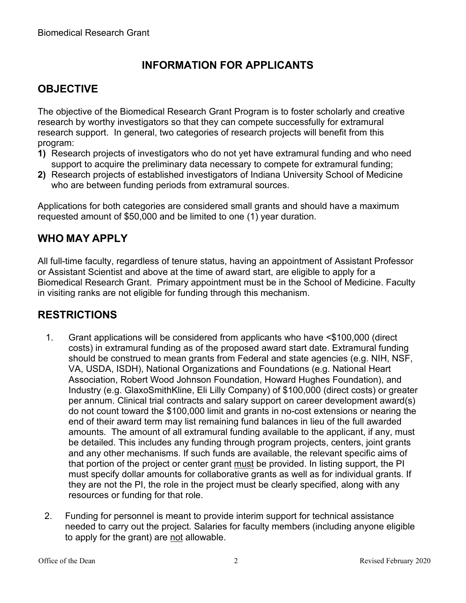# **INFORMATION FOR APPLICANTS**

# **OBJECTIVE**

The objective of the Biomedical Research Grant Program is to foster scholarly and creative research by worthy investigators so that they can compete successfully for extramural research support. In general, two categories of research projects will benefit from this program:

- **1)** Research projects of investigators who do not yet have extramural funding and who need support to acquire the preliminary data necessary to compete for extramural funding;
- **2)** Research projects of established investigators of Indiana University School of Medicine who are between funding periods from extramural sources.

Applications for both categories are considered small grants and should have a maximum requested amount of \$50,000 and be limited to one (1) year duration.

### **WHO MAY APPLY**

All full-time faculty, regardless of tenure status, having an appointment of Assistant Professor or Assistant Scientist and above at the time of award start, are eligible to apply for a Biomedical Research Grant. Primary appointment must be in the School of Medicine. Faculty in visiting ranks are not eligible for funding through this mechanism.

### **RESTRICTIONS**

- 1. Grant applications will be considered from applicants who have <\$100,000 (direct costs) in extramural funding as of the proposed award start date. Extramural funding should be construed to mean grants from Federal and state agencies (e.g. NIH, NSF, VA, USDA, ISDH), National Organizations and Foundations (e.g. National Heart Association, Robert Wood Johnson Foundation, Howard Hughes Foundation), and Industry (e.g. GlaxoSmithKline, Eli Lilly Company) of \$100,000 (direct costs) or greater per annum. Clinical trial contracts and salary support on career development award(s) do not count toward the \$100,000 limit and grants in no-cost extensions or nearing the end of their award term may list remaining fund balances in lieu of the full awarded amounts. The amount of all extramural funding available to the applicant, if any, must be detailed. This includes any funding through program projects, centers, joint grants and any other mechanisms. If such funds are available, the relevant specific aims of that portion of the project or center grant must be provided. In listing support, the PI must specify dollar amounts for collaborative grants as well as for individual grants. If they are not the PI, the role in the project must be clearly specified, along with any resources or funding for that role.
- 2. Funding for personnel is meant to provide interim support for technical assistance needed to carry out the project. Salaries for faculty members (including anyone eligible to apply for the grant) are not allowable.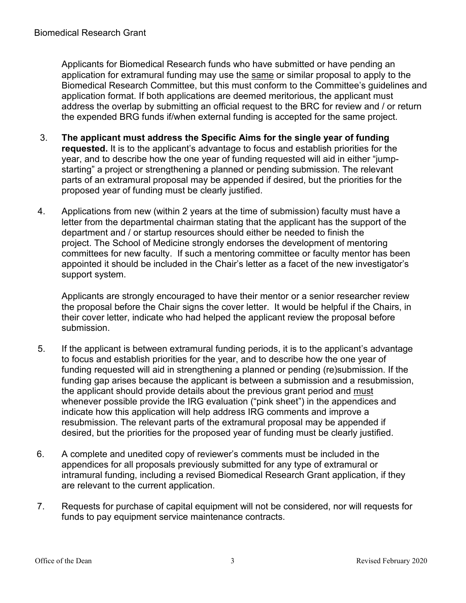Applicants for Biomedical Research funds who have submitted or have pending an application for extramural funding may use the same or similar proposal to apply to the Biomedical Research Committee, but this must conform to the Committee's guidelines and application format. If both applications are deemed meritorious, the applicant must address the overlap by submitting an official request to the BRC for review and / or return the expended BRG funds if/when external funding is accepted for the same project.

- 3. **The applicant must address the Specific Aims for the single year of funding requested.** It is to the applicant's advantage to focus and establish priorities for the year, and to describe how the one year of funding requested will aid in either "jumpstarting" a project or strengthening a planned or pending submission. The relevant parts of an extramural proposal may be appended if desired, but the priorities for the proposed year of funding must be clearly justified.
- 4. Applications from new (within 2 years at the time of submission) faculty must have a letter from the departmental chairman stating that the applicant has the support of the department and / or startup resources should either be needed to finish the project. The School of Medicine strongly endorses the development of mentoring committees for new faculty. If such a mentoring committee or faculty mentor has been appointed it should be included in the Chair's letter as a facet of the new investigator's support system.

Applicants are strongly encouraged to have their mentor or a senior researcher review the proposal before the Chair signs the cover letter. It would be helpful if the Chairs, in their cover letter, indicate who had helped the applicant review the proposal before submission.

- 5. If the applicant is between extramural funding periods, it is to the applicant's advantage to focus and establish priorities for the year, and to describe how the one year of funding requested will aid in strengthening a planned or pending (re)submission. If the funding gap arises because the applicant is between a submission and a resubmission, the applicant should provide details about the previous grant period and must whenever possible provide the IRG evaluation ("pink sheet") in the appendices and indicate how this application will help address IRG comments and improve a resubmission. The relevant parts of the extramural proposal may be appended if desired, but the priorities for the proposed year of funding must be clearly justified.
- 6. A complete and unedited copy of reviewer's comments must be included in the appendices for all proposals previously submitted for any type of extramural or intramural funding, including a revised Biomedical Research Grant application, if they are relevant to the current application.
- 7. Requests for purchase of capital equipment will not be considered, nor will requests for funds to pay equipment service maintenance contracts.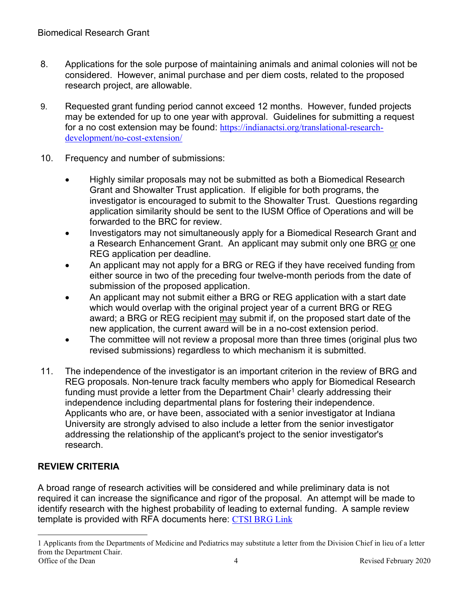- 8. Applications for the sole purpose of maintaining animals and animal colonies will not be considered. However, animal purchase and per diem costs, related to the proposed research project, are allowable.
- 9. Requested grant funding period cannot exceed 12 months. However, funded projects may be extended for up to one year with approval. Guidelines for submitting a request for a no cost extension may be found: [https://indianactsi.org/translational-research](https://indianactsi.org/translational-research-development/no-cost-extension/)[development/no-cost-extension/](https://indianactsi.org/translational-research-development/no-cost-extension/)
- 10. Frequency and number of submissions:
	- Highly similar proposals may not be submitted as both a Biomedical Research Grant and Showalter Trust application. If eligible for both programs, the investigator is encouraged to submit to the Showalter Trust. Questions regarding application similarity should be sent to the IUSM Office of Operations and will be forwarded to the BRC for review.
	- Investigators may not simultaneously apply for a Biomedical Research Grant and a Research Enhancement Grant. An applicant may submit only one BRG or one REG application per deadline.
	- An applicant may not apply for a BRG or REG if they have received funding from either source in two of the preceding four twelve-month periods from the date of submission of the proposed application.
	- An applicant may not submit either a BRG or REG application with a start date which would overlap with the original project year of a current BRG or REG award; a BRG or REG recipient may submit if, on the proposed start date of the new application, the current award will be in a no-cost extension period.
	- The committee will not review a proposal more than three times (original plus two revised submissions) regardless to which mechanism it is submitted.
- 11. The independence of the investigator is an important criterion in the review of BRG and REG proposals. Non-tenure track faculty members who apply for Biomedical Research funding must provide a letter from the Department Chair<sup>[1](#page-3-0)</sup> clearly addressing their independence including departmental plans for fostering their independence. Applicants who are, or have been, associated with a senior investigator at Indiana University are strongly advised to also include a letter from the senior investigator addressing the relationship of the applicant's project to the senior investigator's research.

### **REVIEW CRITERIA**

A broad range of research activities will be considered and while preliminary data is not required it can increase the significance and rigor of the proposal. An attempt will be made to identify research with the highest probability of leading to external funding. A sample review template is provided with RFA documents here: [CTSI BRG Link](https://indianactsi.org/translational-research-development/open-funding-opportunities#BRG202209)

<span id="page-3-0"></span><sup>1</sup> Applicants from the Departments of Medicine and Pediatrics may substitute a letter from the Division Chief in lieu of a letter from the Department Chair.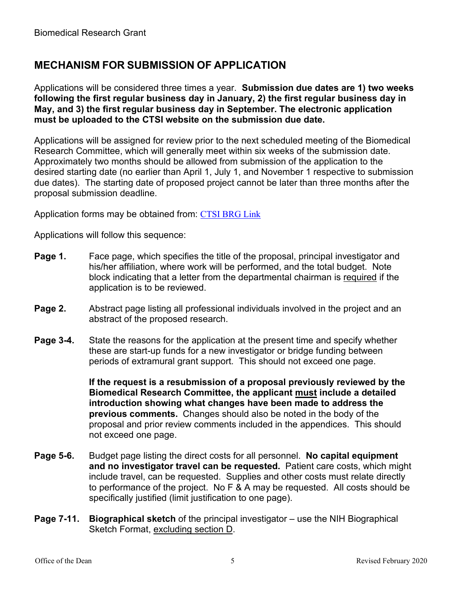### **MECHANISM FOR SUBMISSION OF APPLICATION**

Applications will be considered three times a year. **Submission due dates are 1) two weeks following the first regular business day in January, 2) the first regular business day in May, and 3) the first regular business day in September. The electronic application must be uploaded to the CTSI website on the submission due date.**

Applications will be assigned for review prior to the next scheduled meeting of the Biomedical Research Committee, which will generally meet within six weeks of the submission date. Approximately two months should be allowed from submission of the application to the desired starting date (no earlier than April 1, July 1, and November 1 respective to submission due dates). The starting date of proposed project cannot be later than three months after the proposal submission deadline.

Application forms may be obtained from: [CTSI BRG Link](https://indianactsi.org/translational-research-development/open-funding-opportunities#BRG202209)

Applications will follow this sequence:

- **Page 1.** Face page, which specifies the title of the proposal, principal investigator and his/her affiliation, where work will be performed, and the total budget. Note block indicating that a letter from the departmental chairman is required if the application is to be reviewed.
- **Page 2.** Abstract page listing all professional individuals involved in the project and an abstract of the proposed research.
- **Page 3-4.** State the reasons for the application at the present time and specify whether these are start-up funds for a new investigator or bridge funding between periods of extramural grant support. This should not exceed one page.

**If the request is a resubmission of a proposal previously reviewed by the Biomedical Research Committee, the applicant must include a detailed introduction showing what changes have been made to address the previous comments.** Changes should also be noted in the body of the proposal and prior review comments included in the appendices. This should not exceed one page.

- **Page 5-6.** Budget page listing the direct costs for all personnel. **No capital equipment and no investigator travel can be requested.** Patient care costs, which might include travel, can be requested. Supplies and other costs must relate directly to performance of the project. No F & A may be requested. All costs should be specifically justified (limit justification to one page).
- **Page 7-11. Biographical sketch** of the principal investigator use the NIH Biographical Sketch Format, excluding section D.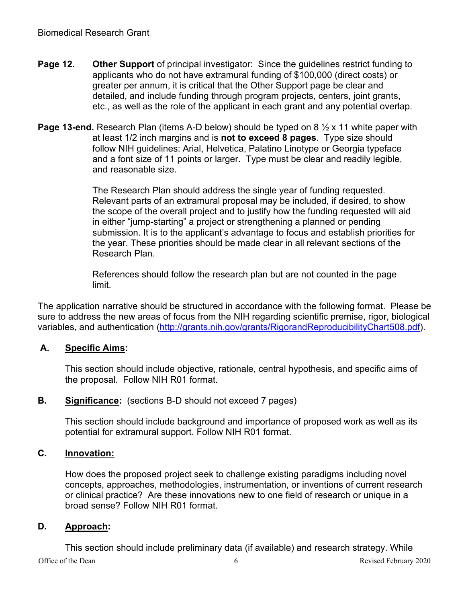- **Page 12. Other Support** of principal investigator: Since the guidelines restrict funding to applicants who do not have extramural funding of \$100,000 (direct costs) or greater per annum, it is critical that the Other Support page be clear and detailed, and include funding through program projects, centers, joint grants, etc., as well as the role of the applicant in each grant and any potential overlap.
- **Page 13-end.** Research Plan (items A-D below) should be typed on 8  $\frac{1}{2}$  x 11 white paper with at least 1/2 inch margins and is **not to exceed 8 pages**. Type size should follow NIH guidelines: Arial, Helvetica, Palatino Linotype or Georgia typeface and a font size of 11 points or larger. Type must be clear and readily legible, and reasonable size.

The Research Plan should address the single year of funding requested. Relevant parts of an extramural proposal may be included, if desired, to show the scope of the overall project and to justify how the funding requested will aid in either "jump-starting" a project or strengthening a planned or pending submission. It is to the applicant's advantage to focus and establish priorities for the year. These priorities should be made clear in all relevant sections of the Research Plan.

References should follow the research plan but are not counted in the page limit.

The application narrative should be structured in accordance with the following format. Please be sure to address the new areas of focus from the NIH regarding scientific premise, rigor, biological variables, and authentication [\(http://grants.nih.gov/grants/RigorandReproducibilityChart508.pdf\)](http://grants.nih.gov/grants/RigorandReproducibilityChart508.pdf).

#### **A. Specific Aims:**

This section should include objective, rationale, central hypothesis, and specific aims of the proposal. Follow NIH R01 format.

#### **B. Significance:** (sections B-D should not exceed 7 pages)

This section should include background and importance of proposed work as well as its potential for extramural support. Follow NIH R01 format.

#### **C. Innovation:**

How does the proposed project seek to challenge existing paradigms including novel concepts, approaches, methodologies, instrumentation, or inventions of current research or clinical practice? Are these innovations new to one field of research or unique in a broad sense? Follow NIH R01 format.

#### **D. Approach:**

This section should include preliminary data (if available) and research strategy. While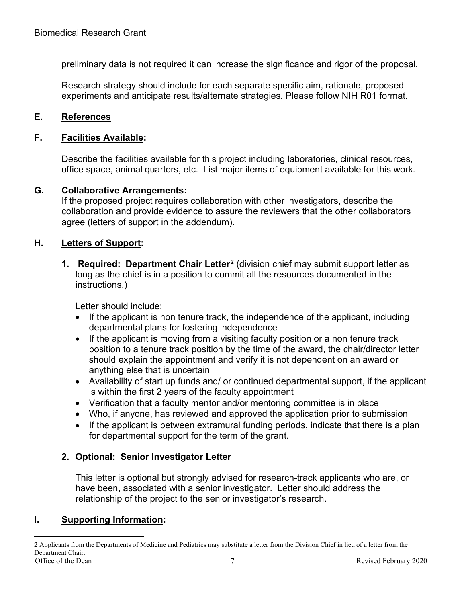preliminary data is not required it can increase the significance and rigor of the proposal.

Research strategy should include for each separate specific aim, rationale, proposed experiments and anticipate results/alternate strategies. Please follow NIH R01 format.

#### **E. References**

#### **F. Facilities Available:**

Describe the facilities available for this project including laboratories, clinical resources, office space, animal quarters, etc. List major items of equipment available for this work.

#### **G. Collaborative Arrangements:**

If the proposed project requires collaboration with other investigators, describe the collaboration and provide evidence to assure the reviewers that the other collaborators agree (letters of support in the addendum).

#### **H. Letters of Support:**

**1. Required: Department Chair Letter[2](#page-6-0)** (division chief may submit support letter as long as the chief is in a position to commit all the resources documented in the instructions.)

Letter should include:

- If the applicant is non tenure track, the independence of the applicant, including departmental plans for fostering independence
- If the applicant is moving from a visiting faculty position or a non tenure track position to a tenure track position by the time of the award, the chair/director letter should explain the appointment and verify it is not dependent on an award or anything else that is uncertain
- Availability of start up funds and/ or continued departmental support, if the applicant is within the first 2 years of the faculty appointment
- Verification that a faculty mentor and/or mentoring committee is in place
- Who, if anyone, has reviewed and approved the application prior to submission
- If the applicant is between extramural funding periods, indicate that there is a plan for departmental support for the term of the grant.

#### **2. Optional: Senior Investigator Letter**

This letter is optional but strongly advised for research-track applicants who are, or have been, associated with a senior investigator. Letter should address the relationship of the project to the senior investigator's research.

#### **I. Supporting Information:**

<span id="page-6-0"></span>Office of the Dean 7 Revised February 2020 2 Applicants from the Departments of Medicine and Pediatrics may substitute a letter from the Division Chief in lieu of a letter from the Department Chair.